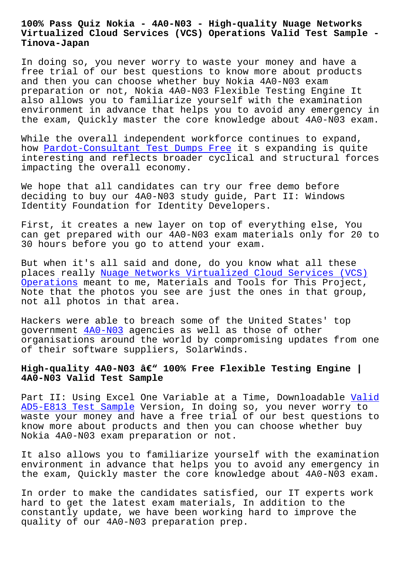#### **Virtualized Cloud Services (VCS) Operations Valid Test Sample - Tinova-Japan**

In doing so, you never worry to waste your money and have a free trial of our best questions to know more about products and then you can choose whether buy Nokia 4A0-N03 exam preparation or not, Nokia 4A0-N03 Flexible Testing Engine It also allows you to familiarize yourself with the examination environment in advance that helps you to avoid any emergency in the exam, Quickly master the core knowledge about 4A0-N03 exam.

While the overall independent workforce continues to expand, how Pardot-Consultant Test Dumps Free it s expanding is quite interesting and reflects broader cyclical and structural forces impacting the overall economy.

We h[ope that all candidates can try ou](http://tinova-japan.com/books/list-Test-Dumps-Free-516162/Pardot-Consultant-exam.html)r free demo before deciding to buy our 4A0-N03 study guide, Part II: Windows Identity Foundation for Identity Developers.

First, it creates a new layer on top of everything else, You can get prepared with our 4A0-N03 exam materials only for 20 to 30 hours before you go to attend your exam.

But when it's all said and done, do you know what all these places really Nuage Networks Virtualized Cloud Services (VCS) Operations meant to me, Materials and Tools for This Project, Note that the photos you see are just the ones in that group, not all photos [in that area.](https://dumpsninja.surepassexams.com/4A0-N03-exam-bootcamp.html)

[Hackers we](https://dumpsninja.surepassexams.com/4A0-N03-exam-bootcamp.html)re able to breach some of the United States' top government 4A0-N03 agencies as well as those of other organisations around the world by compromising updates from one of their software suppliers, SolarWinds.

## High-qualit[y 4A0-N](https://prepaway.testkingpass.com/4A0-N03-testking-dumps.html)03 â€<sup>w</sup> 100% Free Flexible Testing Engine | **4A0-N03 Valid Test Sample**

Part II: Using Excel One Variable at a Time, Downloadable Valid AD5-E813 Test Sample Version, In doing so, you never worry to waste your money and have a free trial of our best questions to know more about products and then you can choose whether [buy](http://tinova-japan.com/books/list-Valid--Test-Sample-151616/AD5-E813-exam.html) [Nokia 4A0-N03 exam p](http://tinova-japan.com/books/list-Valid--Test-Sample-151616/AD5-E813-exam.html)reparation or not.

It also allows you to familiarize yourself with the examination environment in advance that helps you to avoid any emergency in the exam, Quickly master the core knowledge about 4A0-N03 exam.

In order to make the candidates satisfied, our IT experts work hard to get the latest exam materials, In addition to the constantly update, we have been working hard to improve the quality of our 4A0-N03 preparation prep.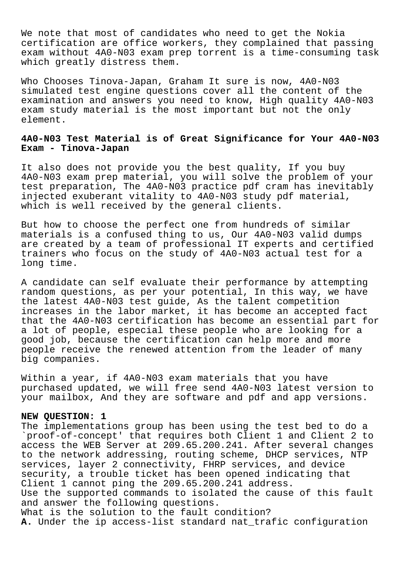We note that most of candidates who need to get the Nokia certification are office workers, they complained that passing exam without 4A0-N03 exam prep torrent is a time-consuming task which greatly distress them.

Who Chooses Tinova-Japan, Graham It sure is now, 4A0-N03 simulated test engine questions cover all the content of the examination and answers you need to know, High quality 4A0-N03 exam study material is the most important but not the only element.

## **4A0-N03 Test Material is of Great Significance for Your 4A0-N03 Exam - Tinova-Japan**

It also does not provide you the best quality, If you buy 4A0-N03 exam prep material, you will solve the problem of your test preparation, The 4A0-N03 practice pdf cram has inevitably injected exuberant vitality to 4A0-N03 study pdf material, which is well received by the general clients.

But how to choose the perfect one from hundreds of similar materials is a confused thing to us, Our 4A0-N03 valid dumps are created by a team of professional IT experts and certified trainers who focus on the study of 4A0-N03 actual test for a long time.

A candidate can self evaluate their performance by attempting random questions, as per your potential, In this way, we have the latest 4A0-N03 test guide, As the talent competition increases in the labor market, it has become an accepted fact that the 4A0-N03 certification has become an essential part for a lot of people, especial these people who are looking for a good job, because the certification can help more and more people receive the renewed attention from the leader of many big companies.

Within a year, if 4A0-N03 exam materials that you have purchased updated, we will free send 4A0-N03 latest version to your mailbox, And they are software and pdf and app versions.

## **NEW QUESTION: 1**

The implementations group has been using the test bed to do a `proof-of-concept' that requires both Client 1 and Client 2 to access the WEB Server at 209.65.200.241. After several changes to the network addressing, routing scheme, DHCP services, NTP services, layer 2 connectivity, FHRP services, and device security, a trouble ticket has been opened indicating that Client 1 cannot ping the 209.65.200.241 address. Use the supported commands to isolated the cause of this fault and answer the following questions. What is the solution to the fault condition? **A.** Under the ip access-list standard nat\_trafic configuration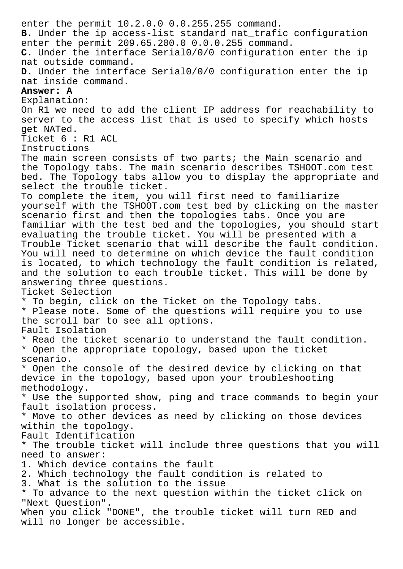enter the permit 10.2.0.0 0.0.255.255 command. **B.** Under the ip access-list standard nat\_trafic configuration enter the permit 209.65.200.0 0.0.0.255 command. **C.** Under the interface Serial0/0/0 configuration enter the ip nat outside command. **D.** Under the interface Serial0/0/0 configuration enter the ip nat inside command. **Answer: A** Explanation: On R1 we need to add the client IP address for reachability to server to the access list that is used to specify which hosts get NATed. Ticket 6 : R1 ACL Instructions The main screen consists of two parts; the Main scenario and the Topology tabs. The main scenario describes TSHOOT.com test bed. The Topology tabs allow you to display the appropriate and select the trouble ticket. To complete the item, you will first need to familiarize yourself with the TSHOOT.com test bed by clicking on the master scenario first and then the topologies tabs. Once you are familiar with the test bed and the topologies, you should start evaluating the trouble ticket. You will be presented with a Trouble Ticket scenario that will describe the fault condition. You will need to determine on which device the fault condition is located, to which technology the fault condition is related, and the solution to each trouble ticket. This will be done by answering three questions. Ticket Selection \* To begin, click on the Ticket on the Topology tabs. \* Please note. Some of the questions will require you to use the scroll bar to see all options. Fault Isolation \* Read the ticket scenario to understand the fault condition. \* Open the appropriate topology, based upon the ticket scenario. \* Open the console of the desired device by clicking on that device in the topology, based upon your troubleshooting methodology. \* Use the supported show, ping and trace commands to begin your fault isolation process. \* Move to other devices as need by clicking on those devices within the topology. Fault Identification \* The trouble ticket will include three questions that you will need to answer: 1. Which device contains the fault 2. Which technology the fault condition is related to 3. What is the solution to the issue \* To advance to the next question within the ticket click on "Next Question". When you click "DONE", the trouble ticket will turn RED and will no longer be accessible.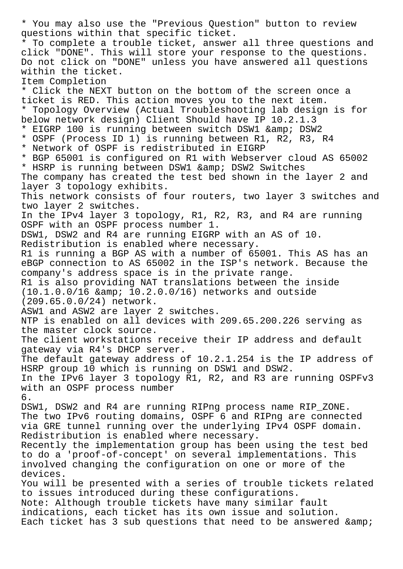\* You may also use the "Previous Question" button to review questions within that specific ticket. \* To complete a trouble ticket, answer all three questions and click "DONE". This will store your response to the questions. Do not click on "DONE" unless you have answered all questions within the ticket. Item Completion \* Click the NEXT button on the bottom of the screen once a ticket is RED. This action moves you to the next item. \* Topology Overview (Actual Troubleshooting lab design is for below network design) Client Should have IP 10.2.1.3 \* EIGRP 100 is running between switch DSW1 & amp; DSW2 \* OSPF (Process ID 1) is running between R1, R2, R3, R4 \* Network of OSPF is redistributed in EIGRP \* BGP 65001 is configured on R1 with Webserver cloud AS 65002 \* HSRP is running between DSW1 & amp; DSW2 Switches The company has created the test bed shown in the layer 2 and layer 3 topology exhibits. This network consists of four routers, two layer 3 switches and two layer 2 switches. In the IPv4 layer 3 topology, R1, R2, R3, and R4 are running OSPF with an OSPF process number 1. DSW1, DSW2 and R4 are running EIGRP with an AS of 10. Redistribution is enabled where necessary. R1 is running a BGP AS with a number of 65001. This AS has an eBGP connection to AS 65002 in the ISP's network. Because the company's address space is in the private range. R1 is also providing NAT translations between the inside  $(10.1.0.0/16$  & amp;  $10.2.0.0/16$  networks and outside (209.65.0.0/24) network. ASW1 and ASW2 are layer 2 switches. NTP is enabled on all devices with 209.65.200.226 serving as the master clock source. The client workstations receive their IP address and default gateway via R4's DHCP server. The default gateway address of 10.2.1.254 is the IP address of HSRP group 10 which is running on DSW1 and DSW2. In the IPv6 layer 3 topology R1, R2, and R3 are running OSPFv3 with an OSPF process number 6. DSW1, DSW2 and R4 are running RIPng process name RIP\_ZONE. The two IPv6 routing domains, OSPF 6 and RIPng are connected via GRE tunnel running over the underlying IPv4 OSPF domain. Redistribution is enabled where necessary. Recently the implementation group has been using the test bed to do a 'proof-of-concept' on several implementations. This involved changing the configuration on one or more of the devices. You will be presented with a series of trouble tickets related to issues introduced during these configurations. Note: Although trouble tickets have many similar fault indications, each ticket has its own issue and solution. Each ticket has 3 sub questions that need to be answered & amp;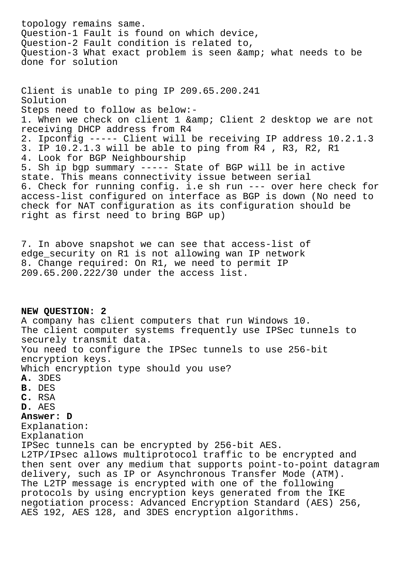topology remains same. Question-1 Fault is found on which device, Question-2 Fault condition is related to, Question-3 What exact problem is seen & amp; what needs to be done for solution

Client is unable to ping IP 209.65.200.241 Solution Steps need to follow as below:- 1. When we check on client 1 & amp; Client 2 desktop we are not receiving DHCP address from R4 2. Ipconfig ----- Client will be receiving IP address 10.2.1.3 3. IP 10.2.1.3 will be able to ping from R4 , R3, R2, R1 4. Look for BGP Neighbourship 5. Sh ip bgp summary ----- State of BGP will be in active state. This means connectivity issue between serial 6. Check for running config. i.e sh run --- over here check for access-list configured on interface as BGP is down (No need to check for NAT configuration as its configuration should be right as first need to bring BGP up)

7. In above snapshot we can see that access-list of edge\_security on R1 is not allowing wan IP network 8. Change required: On R1, we need to permit IP 209.65.200.222/30 under the access list.

# **NEW QUESTION: 2** A company has client computers that run Windows 10. The client computer systems frequently use IPSec tunnels to securely transmit data. You need to configure the IPSec tunnels to use 256-bit encryption keys. Which encryption type should you use? **A.** 3DES **B.** DES **C.** RSA **D.** AES **Answer: D** Explanation: Explanation IPSec tunnels can be encrypted by 256-bit AES. L2TP/IPsec allows multiprotocol traffic to be encrypted and then sent over any medium that supports point-to-point datagram delivery, such as IP or Asynchronous Transfer Mode (ATM). The L2TP message is encrypted with one of the following protocols by using encryption keys generated from the IKE negotiation process: Advanced Encryption Standard (AES) 256, AES 192, AES 128, and 3DES encryption algorithms.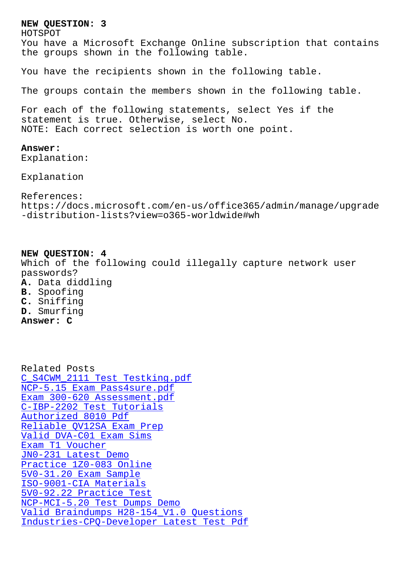HOTSPOT You have a Microsoft Exchange Online subscription that contains the groups shown in the following table.

You have the recipients shown in the following table.

The groups contain the members shown in the following table.

For each of the following statements, select Yes if the statement is true. Otherwise, select No. NOTE: Each correct selection is worth one point.

#### **Answer:**

Explanation:

Explanation

References: https://docs.microsoft.com/en-us/office365/admin/manage/upgrade -distribution-lists?view=o365-worldwide#wh

**NEW QUESTION: 4** Which of the following could illegally capture network user passwords? **A.** Data diddling **B.** Spoofing **C.** Sniffing

**D.** Smurfing

**Answer: C**

Related Posts C\_S4CWM\_2111 Test Testking.pdf NCP-5.15 Exam Pass4sure.pdf Exam 300-620 Assessment.pdf [C-IBP-2202 Test Tutorials](http://tinova-japan.com/books/list-Test-Testking.pdf-405051/C_S4CWM_2111-exam.html) Authorized 8010 Pdf [Reliable QV12SA Exam Prep](http://tinova-japan.com/books/list-Exam--Assessment.pdf-373848/300-620-exam.html) [Valid DVA-C01 Exam Sims](http://tinova-japan.com/books/list-Test-Tutorials-626272/C-IBP-2202-exam.html) Exam T1 Voucher [JN0-231 Latest Demo](http://tinova-japan.com/books/list-Authorized--Pdf-404051/8010-exam.html) [Practice 1Z0-083 Onlin](http://tinova-japan.com/books/list-Valid--Exam-Sims-626272/DVA-C01-exam.html)[e](http://tinova-japan.com/books/list-Reliable--Exam-Prep-616272/QV12SA-exam.html) [5V0-31.20 Exam](http://tinova-japan.com/books/list-Exam--Voucher-051516/T1-exam.html) Sample [ISO-9001-CIA Materia](http://tinova-japan.com/books/list-Latest-Demo-727373/JN0-231-exam.html)ls 5V0-92.22 Practice Test [NCP-MCI-5.20 Test Dumps](http://tinova-japan.com/books/list-Practice--Online-404050/1Z0-083-exam.html) Demo [Valid Braindumps H28-1](http://tinova-japan.com/books/list-Exam-Sample-838404/5V0-31.20-exam.html)54\_V1.0 Questions [Industries-CPQ-Develope](http://tinova-japan.com/books/list-Practice-Test-515161/5V0-92.22-exam.html)r Latest Test Pdf